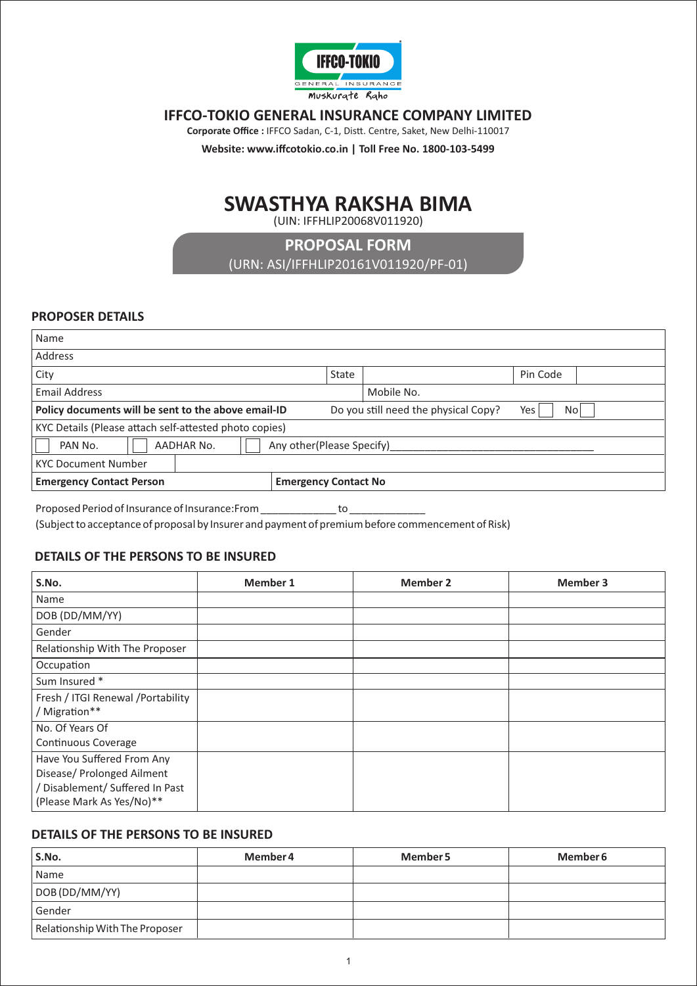

## **IFFCO-TOKIO GENERAL INSURANCE COMPANY LIMITED**

Corporate Office : IFFCO Sadan, C-1, Distt. Centre, Saket, New Delhi-110017

**Website: www.iffcotokio.co.in | Toll Free No. 1800-103-5499** 

# **SWASTHYA RAKSHA BIMA**

(UIN: IFFHLIP20068V011920)

**PROPOSAL FORM** 

(URN: ASI/IFFHLIP20161V011920/PF-01)

## **PROPOSER DETAILS**

| Name                                                           |  |       |                                      |             |  |
|----------------------------------------------------------------|--|-------|--------------------------------------|-------------|--|
| Address                                                        |  |       |                                      |             |  |
| , City                                                         |  | State |                                      | Pin Code    |  |
| <b>Email Address</b>                                           |  |       | Mobile No.                           |             |  |
| Policy documents will be sent to the above email-ID            |  |       | Do you still need the physical Copy? | Yes<br>No l |  |
| KYC Details (Please attach self-attested photo copies)         |  |       |                                      |             |  |
| <b>AADHAR No.</b><br>Any other(Please Specify)<br>PAN No.      |  |       |                                      |             |  |
| <b>KYC Document Number</b>                                     |  |       |                                      |             |  |
| <b>Emergency Contact Person</b><br><b>Emergency Contact No</b> |  |       |                                      |             |  |
|                                                                |  |       |                                      |             |  |

Proposed Period of Insurance of Insurance:From \_\_\_\_\_\_\_\_\_\_\_\_\_\_\_\_\_ to (Subject to acceptance of proposal by Insurer and payment of premium before commencement of Risk)

## **DETAILS OF THE PERSONS TO BE INSURED**

| S.No.                                                                                                                    | <b>Member 1</b> | <b>Member 2</b> | <b>Member 3</b> |
|--------------------------------------------------------------------------------------------------------------------------|-----------------|-----------------|-----------------|
| Name                                                                                                                     |                 |                 |                 |
| DOB (DD/MM/YY)                                                                                                           |                 |                 |                 |
| Gender                                                                                                                   |                 |                 |                 |
| Relationship With The Proposer                                                                                           |                 |                 |                 |
| Occupation                                                                                                               |                 |                 |                 |
| Sum Insured *                                                                                                            |                 |                 |                 |
| Fresh / ITGI Renewal / Portability<br>/ Migration**                                                                      |                 |                 |                 |
| No. Of Years Of<br>Continuous Coverage                                                                                   |                 |                 |                 |
| Have You Suffered From Any<br>Disease/ Prolonged Ailment<br>/ Disablement/ Suffered In Past<br>(Please Mark As Yes/No)** |                 |                 |                 |

#### **DETAILS OF THE PERSONS TO BE INSURED**

| S.No.                          | Member 4 | Member 5 | Member 6 |
|--------------------------------|----------|----------|----------|
| Name                           |          |          |          |
| DOB (DD/MM/YY)                 |          |          |          |
| Gender                         |          |          |          |
| Relationship With The Proposer |          |          |          |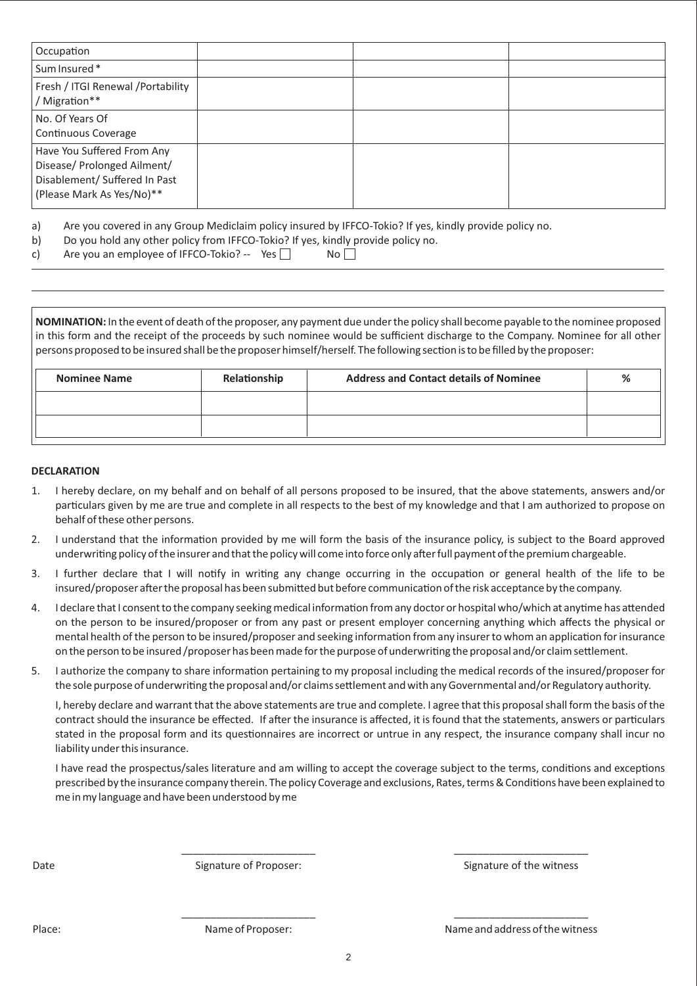| Occupation                                                                                                              |  |  |
|-------------------------------------------------------------------------------------------------------------------------|--|--|
| Sum Insured*                                                                                                            |  |  |
| Fresh / ITGI Renewal / Portability<br>Migration**                                                                       |  |  |
| No. Of Years Of<br>Continuous Coverage                                                                                  |  |  |
| Have You Suffered From Any<br>Disease/ Prolonged Ailment/<br>Disablement/ Suffered In Past<br>(Please Mark As Yes/No)** |  |  |

a) Are you covered in any Group Mediclaim policy insured by IFFCO-Tokio? If yes, kindly provide policy no.

b) Do you hold any other policy from IFFCO-Tokio? If yes, kindly provide policy no.

| Are you an employee of IFFCO-Tokio? -- Yes<br>c) |  | No |
|--------------------------------------------------|--|----|
|--------------------------------------------------|--|----|

**NOMINATION:** In the event of death of the proposer, any payment due under the policy shall become payable to the nominee proposed in this form and the receipt of the proceeds by such nominee would be sufficient discharge to the Company. Nominee for all other persons proposed to be insured shall be the proposer himself/herself. The following section is to be filled by the proposer:

| <b>Nominee Name</b> | Relationship | <b>Address and Contact details of Nominee</b> | % |
|---------------------|--------------|-----------------------------------------------|---|
|                     |              |                                               |   |
|                     |              |                                               |   |

#### **DECLARATION**

- 1. I hereby declare, on my behalf and on behalf of all persons proposed to be insured, that the above statements, answers and/or particulars given by me are true and complete in all respects to the best of my knowledge and that I am authorized to propose on behalf of these other persons.
- 2. I understand that the information provided by me will form the basis of the insurance policy, is subject to the Board approved underwriting policy of the insurer and that the policy will come into force only after full payment of the premium chargeable.
- 3. I further declare that I will notify in writing any change occurring in the occupation or general health of the life to be insured/proposer after the proposal has been submitted but before communication of the risk acceptance by the company.
- 4. I declare that I consent to the company seeking medical information from any doctor or hospital who/which at anytime has attended on the person to be insured/proposer or from any past or present employer concerning anything which affects the physical or mental health of the person to be insured/proposer and seeking information from any insurer to whom an application for insurance on the person to be insured /proposer has been made for the purpose of underwriting the proposal and/or claim settlement.
- 5. I authorize the company to share information pertaining to my proposal including the medical records of the insured/proposer for the sole purpose of underwriting the proposal and/or claims settlement and with any Governmental and/or Regulatory authority.

I, hereby declare and warrant that the above statements are true and complete. I agree that this proposal shall form the basis of the contract should the insurance be effected. If after the insurance is affected, it is found that the statements, answers or particulars stated in the proposal form and its questionnaires are incorrect or untrue in any respect, the insurance company shall incur no liability under this insurance.

I have read the prospectus/sales literature and am willing to accept the coverage subject to the terms, conditions and exceptions prescribed by the insurance company therein. The policy Coverage and exclusions, Rates, terms & Conditions have been explained to me in my language and have been understood by me

\_\_\_\_\_\_\_\_\_\_\_\_\_\_\_\_\_\_\_\_\_\_\_ \_\_\_\_\_\_\_\_\_\_\_\_\_\_\_\_\_\_\_\_\_\_\_

\_\_\_\_\_\_\_\_\_\_\_\_\_\_\_\_\_\_\_\_\_\_\_ \_\_\_\_\_\_\_\_\_\_\_\_\_\_\_\_\_\_\_\_\_\_\_

Date Signature of Proposer: Service of the witness Signature of the witness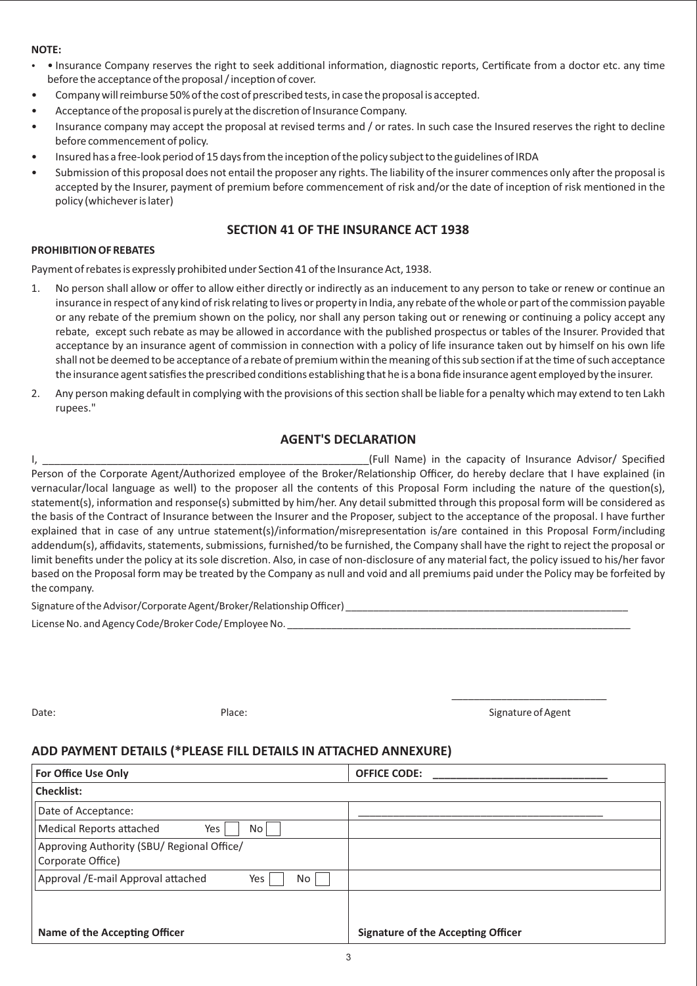#### **NOTE:**

- Insurance Company reserves the right to seek additional information, diagnostic reports, Certificate from a doctor etc. any time before the acceptance of the proposal / inception of cover.
- Company will reimburse 50% of the cost of prescribed tests, in case the proposal is accepted.
- Acceptance of the proposal is purely at the discretion of Insurance Company.
- Insurance company may accept the proposal at revised terms and / or rates. In such case the Insured reserves the right to decline before commencement of policy.
- Insured has a free-look period of 15 days from the inception of the policy subject to the guidelines of IRDA
- Submission of this proposal does not entail the proposer any rights. The liability of the insurer commences only after the proposal is accepted by the Insurer, payment of premium before commencement of risk and/or the date of inception of risk mentioned in the policy (whichever is later)

## **SECTION 41 OF THE INSURANCE ACT 1938**

#### **PROHIBITION OF REBATES**

Payment of rebates is expressly prohibited under Section 41 of the Insurance Act, 1938.

- 1. No person shall allow or offer to allow either directly or indirectly as an inducement to any person to take or renew or continue an insurance in respect of any kind of risk relating to lives or property in India, any rebate of the whole or part of the commission payable or any rebate of the premium shown on the policy, nor shall any person taking out or renewing or continuing a policy accept any rebate, except such rebate as may be allowed in accordance with the published prospectus or tables of the Insurer. Provided that acceptance by an insurance agent of commission in connection with a policy of life insurance taken out by himself on his own life shall not be deemed to be acceptance of a rebate of premium within the meaning of this sub section if at the time of such acceptance the insurance agent satisfies the prescribed conditions establishing that he is a bona fide insurance agent employed by the insurer.
- 2. Any person making default in complying with the provisions of this section shall be liable for a penalty which may extend to ten Lakh rupees."

## **AGENT'S DECLARATION**

I, The capacity of Insurance Advisor/ Specified Service Advisor in the capacity of Insurance Advisor/ Specified Person of the Corporate Agent/Authorized employee of the Broker/Relationship Officer, do hereby declare that I have explained (in vernacular/local language as well) to the proposer all the contents of this Proposal Form including the nature of the question(s), statement(s), information and response(s) submitted by him/her. Any detail submitted through this proposal form will be considered as the basis of the Contract of Insurance between the Insurer and the Proposer, subject to the acceptance of the proposal. I have further explained that in case of any untrue statement(s)/information/misrepresentation is/are contained in this Proposal Form/including addendum(s), affidavits, statements, submissions, furnished/to be furnished, the Company shall have the right to reject the proposal or limit benefits under the policy at its sole discretion. Also, in case of non-disclosure of any material fact, the policy issued to his/her favor based on the Proposal form may be treated by the Company as null and void and all premiums paid under the Policy may be forfeited by the company.

Signature of the Advisor/Corporate Agent/Broker/Relaonship Officer) \_\_\_\_\_\_\_\_\_\_\_\_\_\_\_\_\_\_\_\_\_\_\_\_\_\_\_\_\_\_\_\_\_\_\_\_\_\_\_\_\_\_\_\_\_\_\_\_\_\_\_

License No. and Agency Code/Broker Code/ Employee No.

Date: Contract of Agent Contract Place: Place: Contract Place: Signature of Agent Contract Place: Signature of Agent \_\_\_\_\_\_\_\_\_\_\_\_\_\_\_\_\_\_\_\_\_\_\_\_\_\_\_\_

#### **ADD PAYMENT DETAILS (\*PLEASE FILL DETAILS IN ATTACHED ANNEXURE)**

| <b>For Office Use Only</b>                                      | <b>OFFICE CODE:</b>                       |
|-----------------------------------------------------------------|-------------------------------------------|
| <b>Checklist:</b>                                               |                                           |
| Date of Acceptance:                                             |                                           |
| <b>Medical Reports attached</b><br>Yes<br>No                    |                                           |
| Approving Authority (SBU/ Regional Office/<br>Corporate Office) |                                           |
| Approval /E-mail Approval attached<br>Yes<br>No                 |                                           |
|                                                                 |                                           |
| Name of the Accepting Officer                                   | <b>Signature of the Accepting Officer</b> |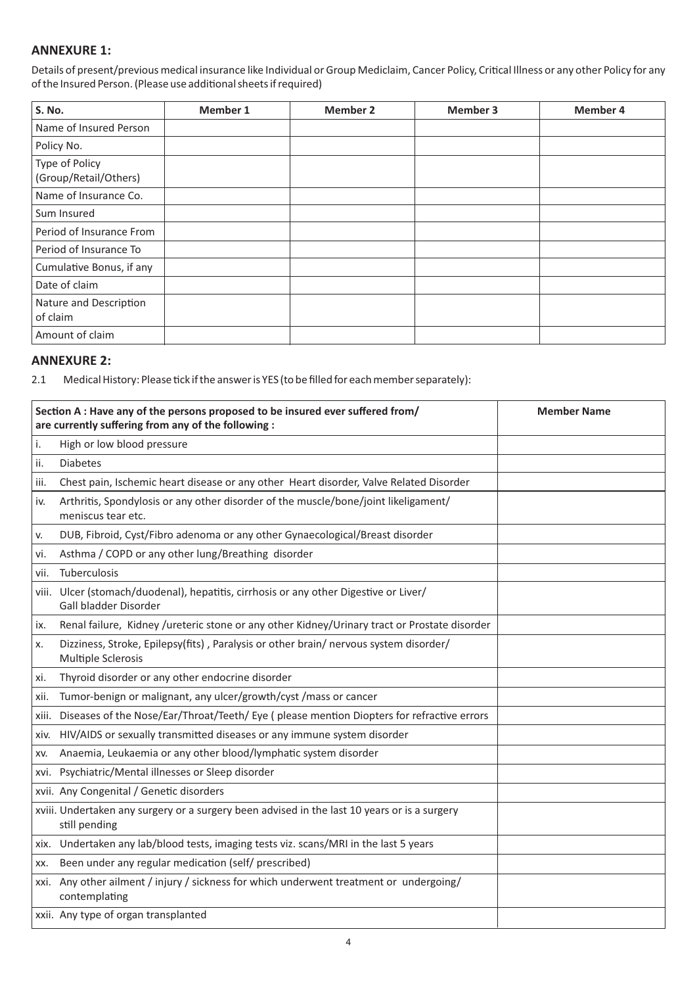## **ANNEXURE 1:**

Details of present/previous medical insurance like Individual or Group Mediclaim, Cancer Policy, Critical Illness or any other Policy for any of the Insured Person. (Please use additional sheets if required)

| S. No.                                  | Member 1 | <b>Member 2</b> | Member 3 | <b>Member 4</b> |
|-----------------------------------------|----------|-----------------|----------|-----------------|
| Name of Insured Person                  |          |                 |          |                 |
| Policy No.                              |          |                 |          |                 |
| Type of Policy<br>(Group/Retail/Others) |          |                 |          |                 |
| Name of Insurance Co.                   |          |                 |          |                 |
| Sum Insured                             |          |                 |          |                 |
| Period of Insurance From                |          |                 |          |                 |
| Period of Insurance To                  |          |                 |          |                 |
| Cumulative Bonus, if any                |          |                 |          |                 |
| Date of claim                           |          |                 |          |                 |
| Nature and Description<br>of claim      |          |                 |          |                 |
| Amount of claim                         |          |                 |          |                 |

## **ANNEXURE 2:**

2.1 Medical History: Please tick if the answer is YES (to be filled for each member separately):

|       | Section A : Have any of the persons proposed to be insured ever suffered from/<br>are currently suffering from any of the following : | <b>Member Name</b> |
|-------|---------------------------------------------------------------------------------------------------------------------------------------|--------------------|
| i.    | High or low blood pressure                                                                                                            |                    |
| ii.   | <b>Diabetes</b>                                                                                                                       |                    |
| iii.  | Chest pain, Ischemic heart disease or any other Heart disorder, Valve Related Disorder                                                |                    |
| iv.   | Arthritis, Spondylosis or any other disorder of the muscle/bone/joint likeligament/<br>meniscus tear etc.                             |                    |
| v.    | DUB, Fibroid, Cyst/Fibro adenoma or any other Gynaecological/Breast disorder                                                          |                    |
| vi.   | Asthma / COPD or any other lung/Breathing disorder                                                                                    |                    |
| vii.  | Tuberculosis                                                                                                                          |                    |
| viii. | Ulcer (stomach/duodenal), hepatitis, cirrhosis or any other Digestive or Liver/<br>Gall bladder Disorder                              |                    |
| IX.   | Renal failure, Kidney /ureteric stone or any other Kidney/Urinary tract or Prostate disorder                                          |                    |
| х.    | Dizziness, Stroke, Epilepsy(fits), Paralysis or other brain/ nervous system disorder/<br>Multiple Sclerosis                           |                    |
| xi.   | Thyroid disorder or any other endocrine disorder                                                                                      |                    |
| xii.  | Tumor-benign or malignant, any ulcer/growth/cyst / mass or cancer                                                                     |                    |
|       | xiii. Diseases of the Nose/Ear/Throat/Teeth/ Eye (please mention Diopters for refractive errors                                       |                    |
| xiv.  | HIV/AIDS or sexually transmitted diseases or any immune system disorder                                                               |                    |
| XV.   | Anaemia, Leukaemia or any other blood/lymphatic system disorder                                                                       |                    |
|       | xvi. Psychiatric/Mental illnesses or Sleep disorder                                                                                   |                    |
|       | xvii. Any Congenital / Genetic disorders                                                                                              |                    |
|       | xviii. Undertaken any surgery or a surgery been advised in the last 10 years or is a surgery<br>still pending                         |                    |
|       | xix. Undertaken any lab/blood tests, imaging tests viz. scans/MRI in the last 5 years                                                 |                    |
| XX.   | Been under any regular medication (self/ prescribed)                                                                                  |                    |
|       | xxi. Any other ailment / injury / sickness for which underwent treatment or undergoing/<br>contemplating                              |                    |
|       | xxii. Any type of organ transplanted                                                                                                  |                    |